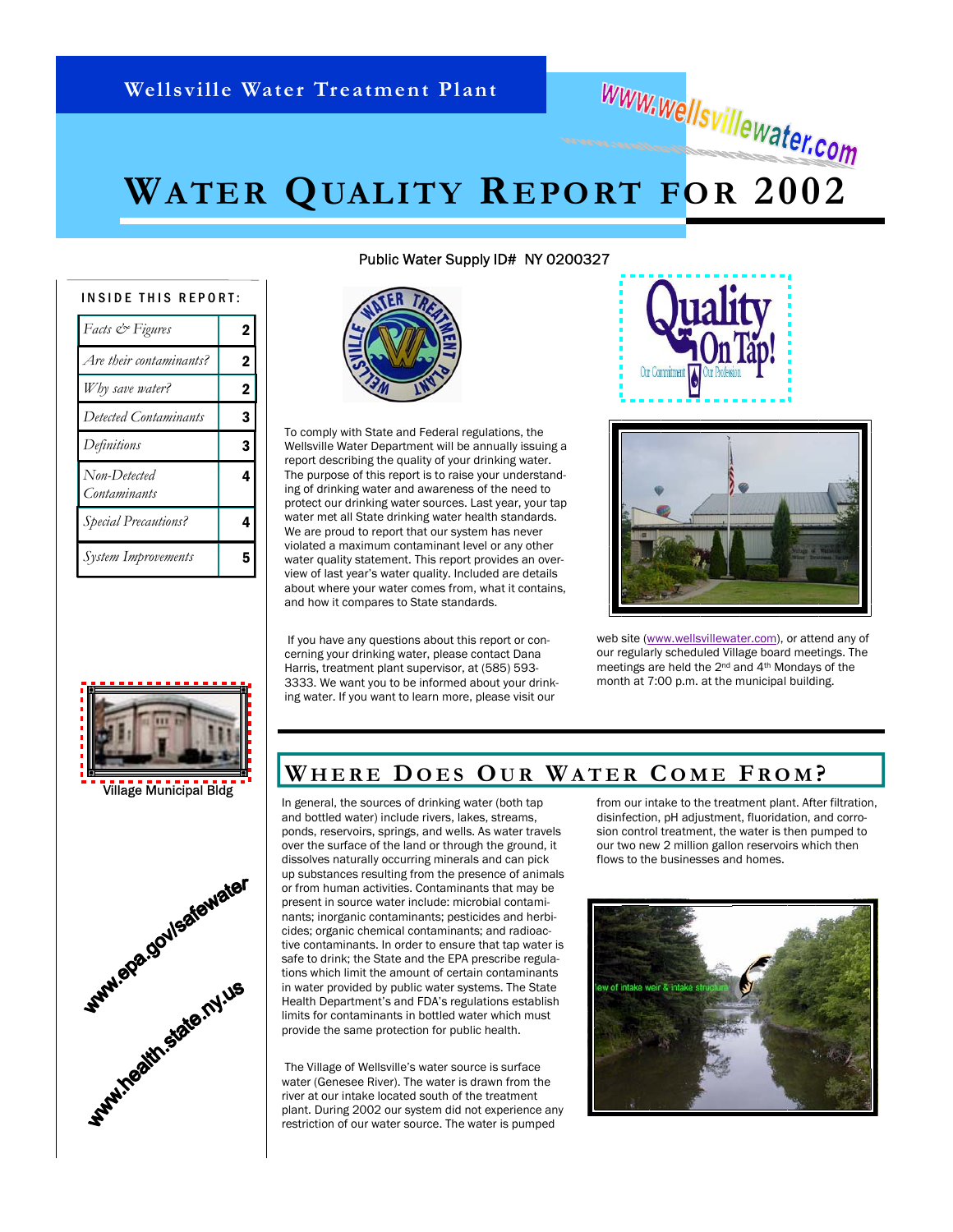# **WATER QUALITY REPORT FOR 2002**

| INSIDE THIS REPORT:          |                |  |  |  |
|------------------------------|----------------|--|--|--|
| Facts & Figures              | $\overline{2}$ |  |  |  |
| Are their contaminants?      | $\mathbf 2$    |  |  |  |
| Why save water?              | 2              |  |  |  |
| Detected Contaminants        | 3              |  |  |  |
| Definitions                  | 3              |  |  |  |
| Non-Detected<br>Contaminants | 4              |  |  |  |
| <b>Special Precautions?</b>  | 4              |  |  |  |
| <b>System Improvements</b>   | 5              |  |  |  |



Village Municipal Bldg



Public Water Supply ID# NY 0200327



To comply with State and Federal regulations, the Wellsville Water Department will be annually issuing a report describing the quality of your drinking water. The purpose of this report is to raise your understanding of drinking water and awareness of the need to protect our drinking water sources. Last year, your tap water met all State drinking water health standards. We are proud to report that our system has never violated a maximum contaminant level or any other water quality statement. This report provides an overview of last year's water quality. Included are details about where your water comes from, what it contains, and how it compares to State standards.

 If you have any questions about this report or concerning your drinking water, please contact Dana Harris, treatment plant supervisor, at (585) 593- 3333. We want you to be informed about your drinking water. If you want to learn more, please visit our



www.wellsvillewater.com



web site [\(www.wellsvillewater.com\),](http://www.wellsvillewater.com) or attend any of our regularly scheduled Village board meetings. The meetings are held the 2nd and 4th Mondays of the month at 7:00 p.m. at the municipal building.

### **WHERE D OES OU R WATER C OME F ROM ?**

In general, the sources of drinking water (both tap and bottled water) include rivers, lakes, streams, ponds, reservoirs, springs, and wells. As water travels over the surface of the land or through the ground, it dissolves naturally occurring minerals and can pick up substances resulting from the presence of animals or from human activities. Contaminants that may be present in source water include: microbial contaminants; inorganic contaminants; pesticides and herbicides; organic chemical contaminants; and radioactive contaminants. In order to ensure that tap water is safe to drink; the State and the EPA prescribe regulations which limit the amount of certain contaminants in water provided by public water systems. The State Health Department's and FDA's regulations establish limits for contaminants in bottled water which must provide the same protection for public health.

 The Village of Wellsville's water source is surface water (Genesee River). The water is drawn from the river at our intake located south of the treatment plant. During 2002 our system did not experience any restriction of our water source. The water is pumped

from our intake to the treatment plant. After filtration, disinfection, pH adjustment, fluoridation, and corrosion control treatment, the water is then pumped to our two new 2 million gallon reservoirs which then flows to the businesses and homes.

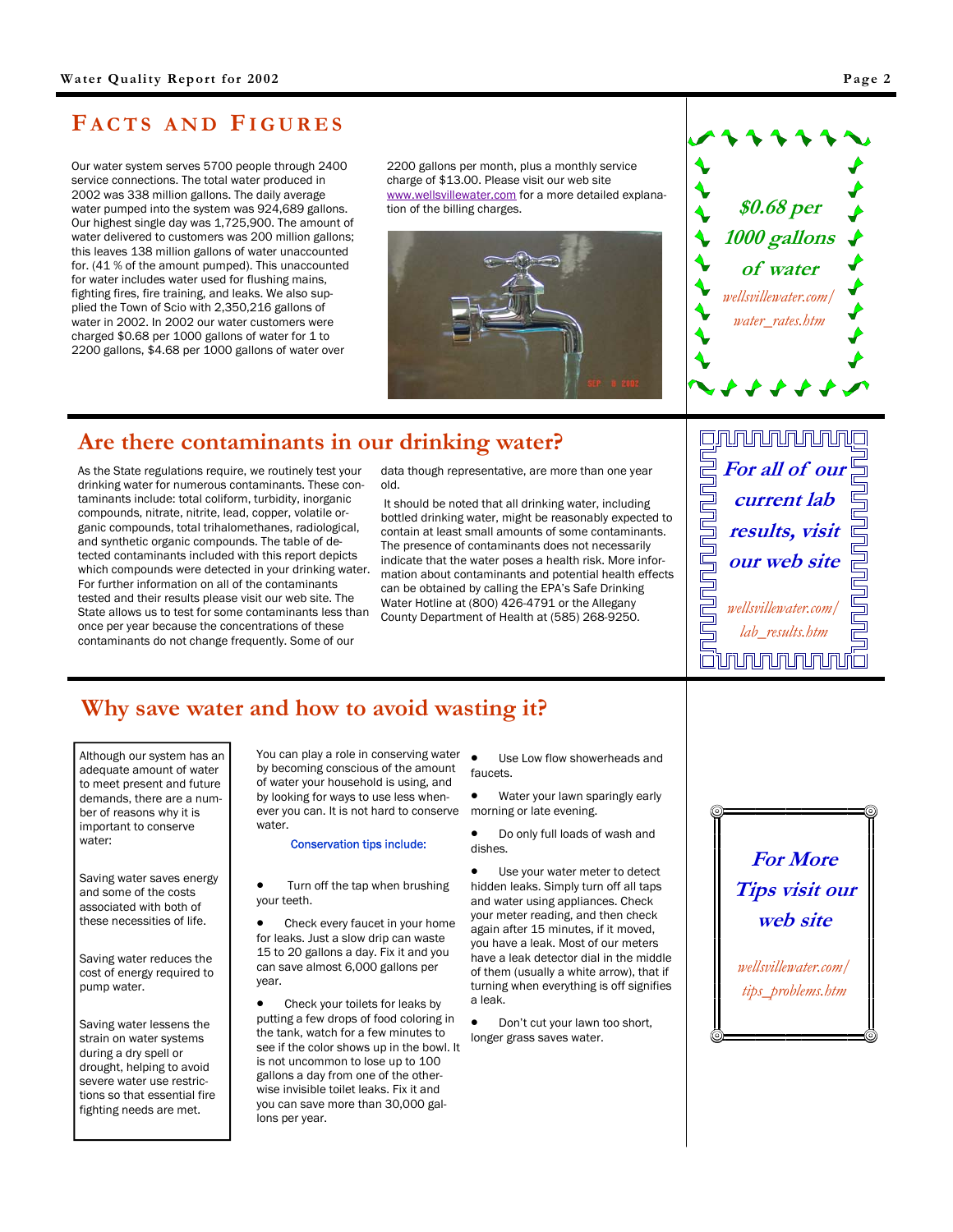# <span id="page-1-0"></span>**F ACTS AND FIGURES**

Our water system serves 5700 people through 2400 service connections. The total water produced in 2002 was 338 million gallons. The daily average water pumped into the system was 924,689 gallons. Our highest single day was 1,725,900. The amount of water delivered to customers was 200 million gallons; this leaves 138 million gallons of water unaccounted for. (41 % of the amount pumped). This unaccounted for water includes water used for flushing mains, fighting fires, fire training, and leaks. We also supplied the Town of Scio with 2,350,216 gallons of water in 2002. In 2002 our water customers were charged \$0.68 per 1000 gallons of water for 1 to 2200 gallons, \$4.68 per 1000 gallons of water over

2200 gallons per month, plus a monthly service charge of \$13.00. Please visit our web site www.wellsvillewater.com for a more detailed explanation of the billing charges.





# **Are there contaminants in our drinking water?**

As the State regulations require, we routinely test your drinking water for numerous contaminants. These contaminants include: total coliform, turbidity, inorganic compounds, nitrate, nitrite, lead, copper, volatile organic compounds, total trihalomethanes, radiological, and synthetic organic compounds. The table of detected contaminants included with this report depicts which compounds were detected in your drinking water. For further information on all of the contaminants tested and their results please visit our web site. The State allows us to test for some contaminants less than once per year because the concentrations of these contaminants do not change frequently. Some of our

data though representative, are more than one year old.

 It should be noted that all drinking water, including bottled drinking water, might be reasonably expected to contain at least small amounts of some contaminants. The presence of contaminants does not necessarily indicate that the water poses a health risk. More information about contaminants and potential health effects can be obtained by calling the EPA's Safe Drinking Water Hotline at (800) 426-4791 or the Allegany County Department of Health at (585) 268-9250.



# **Why save water and how to avoid wasting it?**

Although our system has an adequate amount of water to meet present and future demands, there are a number of reasons why it is important to conserve water:

Saving water saves energy and some of the costs associated with both of these necessities of life.

Saving water reduces the cost of energy required to pump water.

Saving water lessens the strain on water systems during a dry spell or drought, helping to avoid severe water use restrictions so that essential fire fighting needs are met.

You can play a role in conserving water by becoming conscious of the amount of water your household is using, and by looking for ways to use less whenever you can. It is not hard to conserve water.

#### Conservation tips include:

• Turn off the tap when brushing your teeth.

Check every faucet in your home for leaks. Just a slow drip can waste 15 to 20 gallons a day. Fix it and you can save almost 6,000 gallons per year.

• Check your toilets for leaks by putting a few drops of food coloring in the tank, watch for a few minutes to see if the color shows up in the bowl. It is not uncommon to lose up to 100 gallons a day from one of the otherwise invisible toilet leaks. Fix it and you can save more than 30,000 gallons per year.

• Use Low flow showerheads and faucets.

• Water your lawn sparingly early morning or late evening.

• Do only full loads of wash and dishes.

Use your water meter to detect hidden leaks. Simply turn off all taps and water using appliances. Check your meter reading, and then check again after 15 minutes, if it moved, you have a leak. Most of our meters have a leak detector dial in the middle of them (usually a white arrow), that if turning when everything is off signifies a leak.

• Don't cut your lawn too short, longer grass saves water.

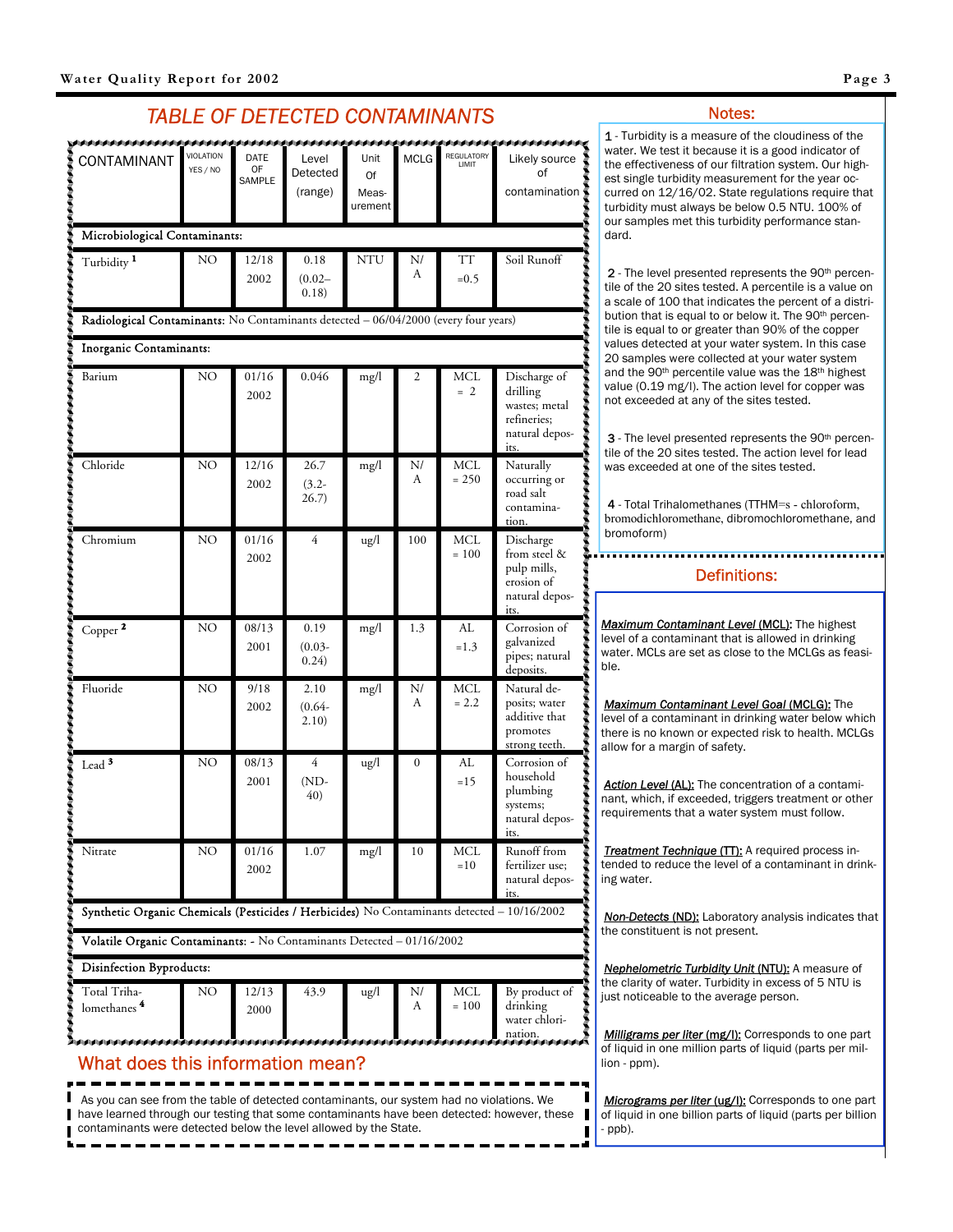### *TABLE OF DETECTED CONTAMINANTS*

<span id="page-2-0"></span>

| CONTAMINANT                                                                                 | <b>VIOLATION</b><br>YES / NO                                                        | DATE<br>OF<br>SAMPLE | Level<br>Detected<br>(range) | Unit<br>Of<br>Meas-<br>urement | <b>MCLG</b>  | REGULATORY<br>LIMIT   | Likely source<br>of<br>contamination                                               |  |  |
|---------------------------------------------------------------------------------------------|-------------------------------------------------------------------------------------|----------------------|------------------------------|--------------------------------|--------------|-----------------------|------------------------------------------------------------------------------------|--|--|
|                                                                                             | Microbiological Contaminants:                                                       |                      |                              |                                |              |                       |                                                                                    |  |  |
| Turbidity <sup>1</sup>                                                                      | NΟ                                                                                  | 12/18<br>2002        | 0.18<br>$(0.02 -$<br>0.18)   | NTU                            | N/<br>А      | TТ<br>$=0.5$          | Soil Runoff                                                                        |  |  |
|                                                                                             | Radiological Contaminants: No Contaminants detected - 06/04/2000 (every four years) |                      |                              |                                |              |                       |                                                                                    |  |  |
| <b>Inorganic Contaminants:</b>                                                              |                                                                                     |                      |                              |                                |              |                       |                                                                                    |  |  |
| Barium                                                                                      | NO                                                                                  | 01/16<br>2002        | 0.046                        | mg/l                           | 2            | MCL<br>$= 2$          | Discharge of<br>drilling<br>wastes; metal<br>refineries;<br>natural depos-<br>its. |  |  |
| Chloride                                                                                    | NO                                                                                  | 12/16<br>2002        | 26.7<br>$(3.2 -$<br>26.7)    | mg/l                           | N/<br>А      | MCL<br>$= 250$        | Naturally<br>occurring or<br>road salt<br>contamina-<br>tion.                      |  |  |
| Chromium                                                                                    | NO                                                                                  | 01/16<br>2002        | $\overline{4}$               | ug/l                           | 100          | <b>MCL</b><br>$= 100$ | Discharge<br>from steel &<br>pulp mills,<br>erosion of<br>natural depos-<br>its.   |  |  |
| Copper <sup>2</sup>                                                                         | NO                                                                                  | 08/13<br>2001        | 0.19<br>$(0.03 -$<br>0.24)   | mg/l                           | 1.3          | AL<br>$=1.3$          | Corrosion of<br>galvanized<br>pipes; natural<br>deposits.                          |  |  |
| Fluoride                                                                                    | NO                                                                                  | 9/18<br>2002         | 2.10<br>$(0.64 -$<br>2.10)   | mg/l                           | N/<br>А      | MCL<br>$= 2.2$        | Natural de-<br>posits; water<br>additive that<br>promotes<br>strong teeth.         |  |  |
| Lead <sup>3</sup>                                                                           | NO                                                                                  | 08/13<br>2001        | 4<br>$(ND-$<br>40)           | ug/l                           | $\mathbf{0}$ | AL<br>$=15$           | Corrosion of<br>household<br>plumbing<br>systems;<br>natural depos-<br>its.        |  |  |
| Nitrate                                                                                     | NO                                                                                  | 01/16<br>2002        | 1.07                         | mg/l                           | 10           | MCL<br>$=10$          | Runoff from<br>fertilizer use;<br>natural depos-<br>its.                           |  |  |
| Synthetic Organic Chemicals (Pesticides / Herbicides) No Contaminants detected - 10/16/2002 |                                                                                     |                      |                              |                                |              |                       |                                                                                    |  |  |
| Volatile Organic Contaminants: - No Contaminants Detected - 01/16/2002                      |                                                                                     |                      |                              |                                |              |                       |                                                                                    |  |  |
| Disinfection Byproducts:                                                                    |                                                                                     |                      |                              |                                |              |                       |                                                                                    |  |  |
| Total Triha-<br>lomethanes <sup>4</sup>                                                     | NO                                                                                  | 12/13<br>2000        | 43.9                         | ug/l                           | N/<br>А      | MCL<br>$= 100$        | By product of<br>drinking<br>water chlori-<br>nation.                              |  |  |

### What does this information mean?

As you can see from the table of detected contaminants, our system had no violations. We **have learned through our testing that some contaminants have been detected: however, these** contaminants were detected below the level allowed by the State.

1 - Turbidity is a measure of the cloudiness of the water. We test it because it is a good indicator of the effectiveness of our filtration system. Our highest single turbidity measurement for the year occurred on 12/16/02. State regulations require that turbidity must always be below 0.5 NTU. 100% of our samples met this turbidity performance standard.

2 - The level presented represents the 90<sup>th</sup> percentile of the 20 sites tested. A percentile is a value on a scale of 100 that indicates the percent of a distribution that is equal to or below it. The 90<sup>th</sup> percentile is equal to or greater than 90% of the copper values detected at your water system. In this case 20 samples were collected at your water system and the 90<sup>th</sup> percentile value was the 18<sup>th</sup> highest value (0.19 mg/l). The action level for copper was not exceeded at any of the sites tested.

3 - The level presented represents the 90<sup>th</sup> percentile of the 20 sites tested. The action level for lead was exceeded at one of the sites tested.

4 - Total Trihalomethanes (TTHM=s - chloroform, bromodichloromethane, dibromochloromethane, and bromoform)

#### Definitions:

**Maximum Contaminant Level (MCL):** The highest level of a contaminant that is allowed in drinking water. MCLs are set as close to the MCLGs as feasible.

*Maximum Contaminant Level Goal* (MCLG): The level of a contaminant in drinking water below which there is no known or expected risk to health. MCLGs allow for a margin of safety.

**Action Level (AL):** The concentration of a contaminant, which, if exceeded, triggers treatment or other requirements that a water system must follow.

**Treatment Technique (TT):** A required process intended to reduce the level of a contaminant in drinking water.

*Non-Detects* (ND): Laboratory analysis indicates that the constituent is not present.

*Nephelometric Turbidity Unit* (NTU): A measure of the clarity of water. Turbidity in excess of 5 NTU is just noticeable to the average person.

*Milligrams per liter (mg/l)*: Corresponds to one part of liquid in one million parts of liquid (parts per million - ppm).

*Micrograms per liter (ug/l)*: Corresponds to one part of liquid in one billion parts of liquid (parts per billion - ppb).

П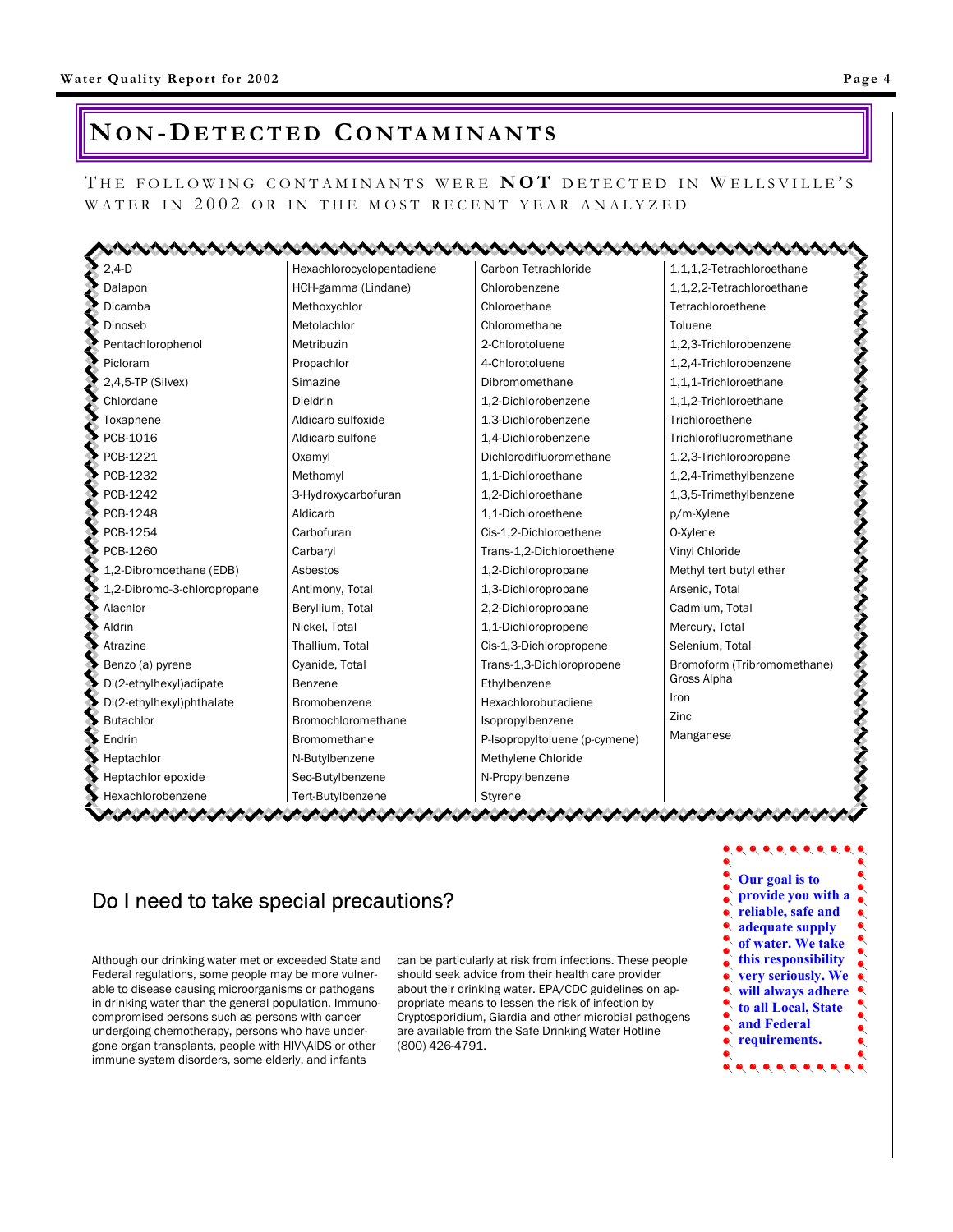# <span id="page-3-0"></span>**NO N - DETECTED CONTAMINANTS**

THE FOLLOWING CONTAMINANTS WERE **NOT** DETECTED IN WELLSVILLE'S WATER IN 2002 OR IN THE MOST RECENT YEAR ANALYZED

| $2,4-D$                     | Hexachlorocyclopentadiene | Carbon Tetrachloride          | 1,1,1,2-Tetrachloroethane   |  |  |
|-----------------------------|---------------------------|-------------------------------|-----------------------------|--|--|
| Dalapon                     | HCH-gamma (Lindane)       | Chlorobenzene                 | 1,1,2,2-Tetrachloroethane   |  |  |
| Dicamba                     | Methoxychlor              | Chloroethane                  | Tetrachloroethene           |  |  |
| Dinoseb                     | Metolachlor               | Chloromethane                 | Toluene                     |  |  |
| Pentachlorophenol           | Metribuzin                | 2-Chlorotoluene               | 1,2,3-Trichlorobenzene      |  |  |
| Picloram                    | Propachlor                | 4-Chlorotoluene               | 1,2,4-Trichlorobenzene      |  |  |
| 2,4,5-TP (Silvex)           | Simazine                  | Dibromomethane                | 1,1,1-Trichloroethane       |  |  |
| Chlordane                   | Dieldrin                  | 1,2-Dichlorobenzene           | 1,1,2-Trichloroethane       |  |  |
| Toxaphene                   | Aldicarb sulfoxide        | 1,3-Dichlorobenzene           | Trichloroethene             |  |  |
| PCB-1016                    | Aldicarb sulfone          | 1,4-Dichlorobenzene           | Trichlorofluoromethane      |  |  |
| PCB-1221                    | Oxamyl                    | Dichlorodifluoromethane       | 1,2,3-Trichloropropane      |  |  |
| PCB-1232                    | Methomyl                  | 1.1-Dichloroethane            | 1,2,4-Trimethylbenzene      |  |  |
| PCB-1242                    | 3-Hydroxycarbofuran       | 1.2-Dichloroethane            | 1,3,5-Trimethylbenzene      |  |  |
| PCB-1248                    | Aldicarb                  | 1,1-Dichloroethene            | p/m-Xylene                  |  |  |
| PCB-1254                    | Carbofuran                | Cis-1,2-Dichloroethene        | O-Xylene                    |  |  |
| PCB-1260                    | Carbaryl                  | Trans-1,2-Dichloroethene      | Vinyl Chloride              |  |  |
| 1,2-Dibromoethane (EDB)     | Asbestos                  | 1,2-Dichloropropane           | Methyl tert butyl ether     |  |  |
| 1,2-Dibromo-3-chloropropane | Antimony, Total           | 1,3-Dichloropropane           | Arsenic, Total              |  |  |
| Alachlor                    | Beryllium, Total          | 2,2-Dichloropropane           | Cadmium, Total              |  |  |
| Aldrin                      | Nickel, Total             | 1,1-Dichloropropene           | Mercury, Total              |  |  |
| Atrazine                    | Thallium, Total           | Cis-1,3-Dichloropropene       | Selenium, Total             |  |  |
| Benzo (a) pyrene            | Cyanide, Total            | Trans-1,3-Dichloropropene     | Bromoform (Tribromomethane) |  |  |
| Di(2-ethylhexyl)adipate     | Benzene                   | Ethylbenzene                  | Gross Alpha                 |  |  |
| Di(2-ethylhexyl)phthalate   | Bromobenzene              | Hexachlorobutadiene           | Iron                        |  |  |
| <b>Butachlor</b>            | Bromochloromethane        | Isopropylbenzene              | Zinc                        |  |  |
| Endrin                      | <b>Bromomethane</b>       | P-Isopropyltoluene (p-cymene) | Manganese                   |  |  |
| Heptachlor                  | N-Butylbenzene            | Methylene Chloride            |                             |  |  |
| Heptachlor epoxide          | Sec-Butylbenzene          | N-Propylbenzene               |                             |  |  |
| Hexachlorobenzene           | Tert-Butylbenzene         | Styrene                       |                             |  |  |

# Do I need to take special precautions?

Although our drinking water met or exceeded State and Federal regulations, some people may be more vulnerable to disease causing microorganisms or pathogens in drinking water than the general population. Immunocompromised persons such as persons with cancer undergoing chemotherapy, persons who have undergone organ transplants, people with HIV\AIDS or other immune system disorders, some elderly, and infants

can be particularly at risk from infections. These people should seek advice from their health care provider about their drinking water. EPA/CDC guidelines on appropriate means to lessen the risk of infection by Cryptosporidium, Giardia and other microbial pathogens are available from the Safe Drinking Water Hotline (800) 426-4791.